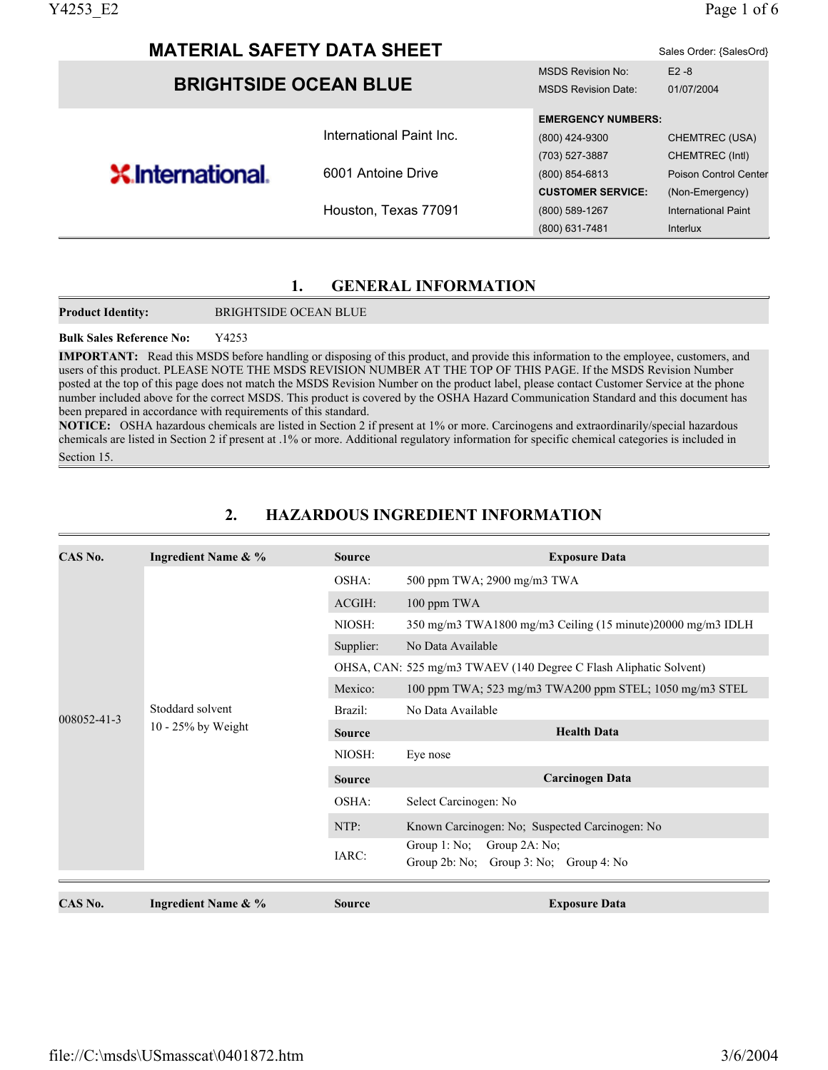| Y4253 E2                     |                                   |                           | Page 1 of 6                  |
|------------------------------|-----------------------------------|---------------------------|------------------------------|
|                              | <b>MATERIAL SAFETY DATA SHEET</b> |                           | Sales Order: {SalesOrd}      |
|                              |                                   | <b>MSDS Revision No:</b>  | $E2 - 8$                     |
| <b>BRIGHTSIDE OCEAN BLUE</b> | <b>MSDS Revision Date:</b>        | 01/07/2004                |                              |
|                              |                                   | <b>EMERGENCY NUMBERS:</b> |                              |
|                              | International Paint Inc.          | (800) 424-9300            | CHEMTREC (USA)               |
|                              |                                   | (703) 527-3887            | CHEMTREC (Intl)              |
| <b>X</b> International.      | 6001 Antoine Drive                | (800) 854-6813            | <b>Poison Control Center</b> |
|                              |                                   | <b>CUSTOMER SERVICE:</b>  | (Non-Emergency)              |
|                              | Houston, Texas 77091              | (800) 589-1267            | <b>International Paint</b>   |
|                              |                                   | (800) 631-7481            | Interlux                     |

#### **1. GENERAL INFORMATION**

**Product Identity:** BRIGHTSIDE OCEAN BLUE

#### **Bulk Sales Reference No:** Y4253

**IMPORTANT:** Read this MSDS before handling or disposing of this product, and provide this information to the employee, customers, and users of this product. PLEASE NOTE THE MSDS REVISION NUMBER AT THE TOP OF THIS PAGE. If the MSDS Revision Number posted at the top of this page does not match the MSDS Revision Number on the product label, please contact Customer Service at the phone number included above for the correct MSDS. This product is covered by the OSHA Hazard Communication Standard and this document has been prepared in accordance with requirements of this standard.

**NOTICE:** OSHA hazardous chemicals are listed in Section 2 if present at 1% or more. Carcinogens and extraordinarily/special hazardous chemicals are listed in Section 2 if present at .1% or more. Additional regulatory information for specific chemical categories is included in Section 15.

| CAS No.     | <b>Ingredient Name &amp; %</b> | <b>Source</b> | <b>Exposure Data</b>                                              |
|-------------|--------------------------------|---------------|-------------------------------------------------------------------|
|             |                                | OSHA:         | 500 ppm TWA; 2900 mg/m3 TWA                                       |
|             |                                | ACGIH:        | 100 ppm TWA                                                       |
|             |                                | NIOSH:        | 350 mg/m3 TWA1800 mg/m3 Ceiling (15 minute)20000 mg/m3 IDLH       |
|             |                                | Supplier:     | No Data Available                                                 |
|             |                                |               | OHSA, CAN: 525 mg/m3 TWAEV (140 Degree C Flash Aliphatic Solvent) |
|             |                                | Mexico:       | 100 ppm TWA; 523 mg/m3 TWA200 ppm STEL; 1050 mg/m3 STEL           |
|             | Stoddard solvent               | Brazil:       | No Data Available                                                 |
| 008052-41-3 | $10 - 25\%$ by Weight          | <b>Source</b> | <b>Health Data</b>                                                |
|             |                                | NIOSH:        | Eye nose                                                          |
|             |                                | <b>Source</b> | <b>Carcinogen Data</b>                                            |
|             |                                | OSHA:         | Select Carcinogen: No                                             |
|             |                                | NTP:          | Known Carcinogen: No; Suspected Carcinogen: No                    |
|             |                                | IARC:         | Group $1: No;$<br>Group 2A: No;                                   |
|             |                                |               | Group $2b$ : No; Group $3:$ No; Group $4:$ No                     |
| CAS No.     | <b>Ingredient Name &amp; %</b> | <b>Source</b> | <b>Exposure Data</b>                                              |

# **2. HAZARDOUS INGREDIENT INFORMATION**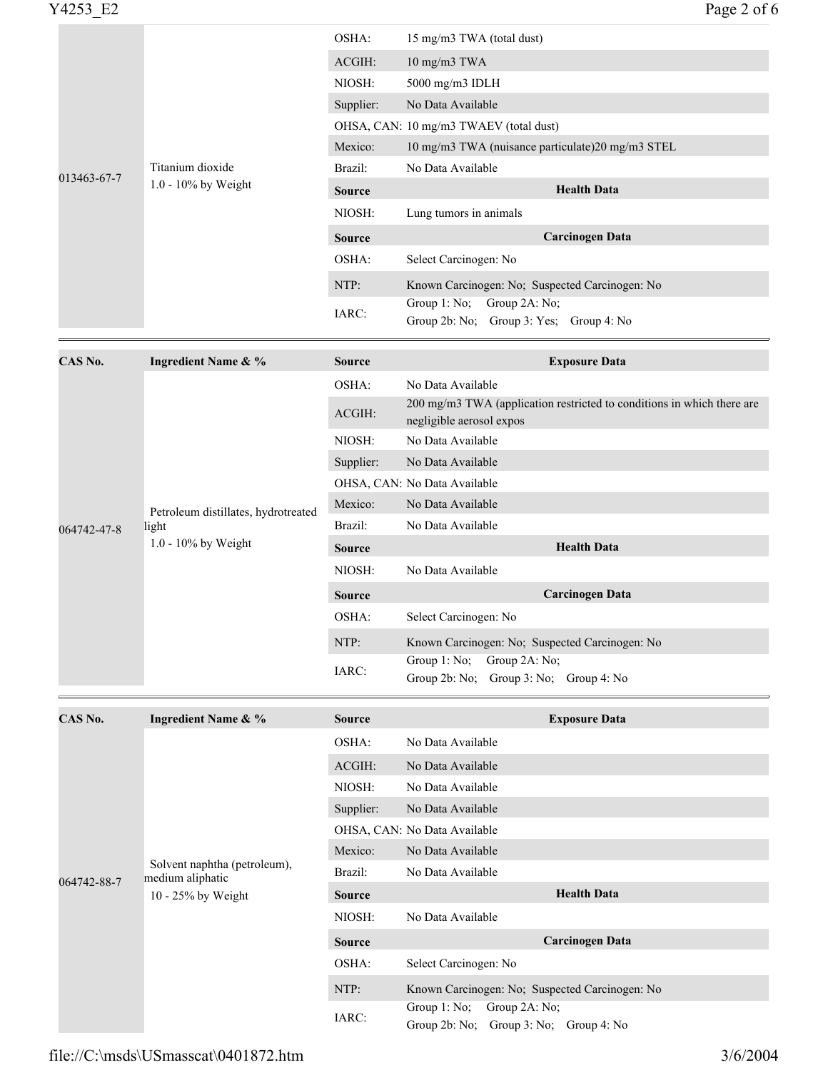| CAS No.     | Ingredient Name & %    | <b>Source</b> | <b>Exposure Data</b>                                                       |
|-------------|------------------------|---------------|----------------------------------------------------------------------------|
|             |                        | IARC:         | Group $1: No;$<br>Group 2A: No;<br>Group 2b: No; Group 3: Yes; Group 4: No |
|             |                        | NTP:          | Known Carcinogen: No; Suspected Carcinogen: No                             |
|             |                        | OSHA:         | Select Carcinogen: No                                                      |
| 013463-67-7 |                        | <b>Source</b> | <b>Carcinogen Data</b>                                                     |
|             |                        | NIOSH:        | Lung tumors in animals                                                     |
|             | $1.0 - 10\%$ by Weight | <b>Source</b> | <b>Health Data</b>                                                         |
|             | Titanium dioxide       | Brazil:       | No Data Available                                                          |
|             |                        | Mexico:       | 10 mg/m3 TWA (nuisance particulate) 20 mg/m3 STEL                          |
|             |                        |               | OHSA, CAN: 10 mg/m3 TWAEV (total dust)                                     |
|             |                        | Supplier:     | No Data Available                                                          |
|             |                        | NIOSH:        | 5000 mg/m3 IDLH                                                            |
|             |                        | ACGIH:        | 10 mg/m3 TWA                                                               |
|             |                        | OSHA:         | 15 mg/m3 TWA (total dust)                                                  |

| CAS No.                                                                               | <b>Ingredient Name &amp; %</b> | <b>Source</b>      | <b>Exposure Data</b>                                                                               |
|---------------------------------------------------------------------------------------|--------------------------------|--------------------|----------------------------------------------------------------------------------------------------|
|                                                                                       |                                | OSHA:              | No Data Available                                                                                  |
|                                                                                       |                                | ACGIH:             | 200 mg/m3 TWA (application restricted to conditions in which there are<br>negligible aerosol expos |
|                                                                                       |                                | NIOSH:             | No Data Available                                                                                  |
|                                                                                       |                                | Supplier:          | No Data Available                                                                                  |
|                                                                                       |                                |                    | OHSA, CAN: No Data Available                                                                       |
| Petroleum distillates, hydrotreated<br>light<br>064742-47-8<br>$1.0 - 10\%$ by Weight |                                | Mexico:            | No Data Available                                                                                  |
|                                                                                       |                                | Brazil:            | No Data Available                                                                                  |
|                                                                                       | <b>Source</b>                  | <b>Health Data</b> |                                                                                                    |
|                                                                                       |                                | NIOSH:             | No Data Available                                                                                  |
|                                                                                       |                                | <b>Source</b>      | <b>Carcinogen Data</b>                                                                             |
|                                                                                       |                                | OSHA:              | Select Carcinogen: No                                                                              |
|                                                                                       |                                | NTP:               | Known Carcinogen: No; Suspected Carcinogen: No                                                     |
|                                                                                       |                                | IARC:              | Group $1: No$ ; Group $2A: No$ ;<br>Group $2b$ : No: Group $3$ : No: Group $4$ : No                |

| CAS No.               | <b>Ingredient Name &amp; %</b>                   | <b>Source</b>      | <b>Exposure Data</b>                                                                 |
|-----------------------|--------------------------------------------------|--------------------|--------------------------------------------------------------------------------------|
|                       | OSHA:                                            | No Data Available  |                                                                                      |
|                       |                                                  | ACGIH:             | No Data Available                                                                    |
|                       |                                                  | NIOSH:             | No Data Available                                                                    |
|                       |                                                  | Supplier:          | No Data Available                                                                    |
|                       |                                                  |                    | OHSA, CAN: No Data Available                                                         |
|                       |                                                  | Mexico:            | No Data Available                                                                    |
| 064742-88-7           | Solvent naphtha (petroleum),<br>medium aliphatic | Brazil:            | No Data Available                                                                    |
| $10 - 25\%$ by Weight | <b>Source</b>                                    | <b>Health Data</b> |                                                                                      |
|                       |                                                  | NIOSH:             | No Data Available                                                                    |
|                       |                                                  | <b>Source</b>      | Carcinogen Data                                                                      |
|                       |                                                  | OSHA:              | Select Carcinogen: No                                                                |
|                       |                                                  | NTP:               | Known Carcinogen: No; Suspected Carcinogen: No                                       |
|                       |                                                  | IARC:              | Group $1: No;$<br>Group $2A: No;$<br>Group $2b$ : No; Group $3$ : No; Group $4$ : No |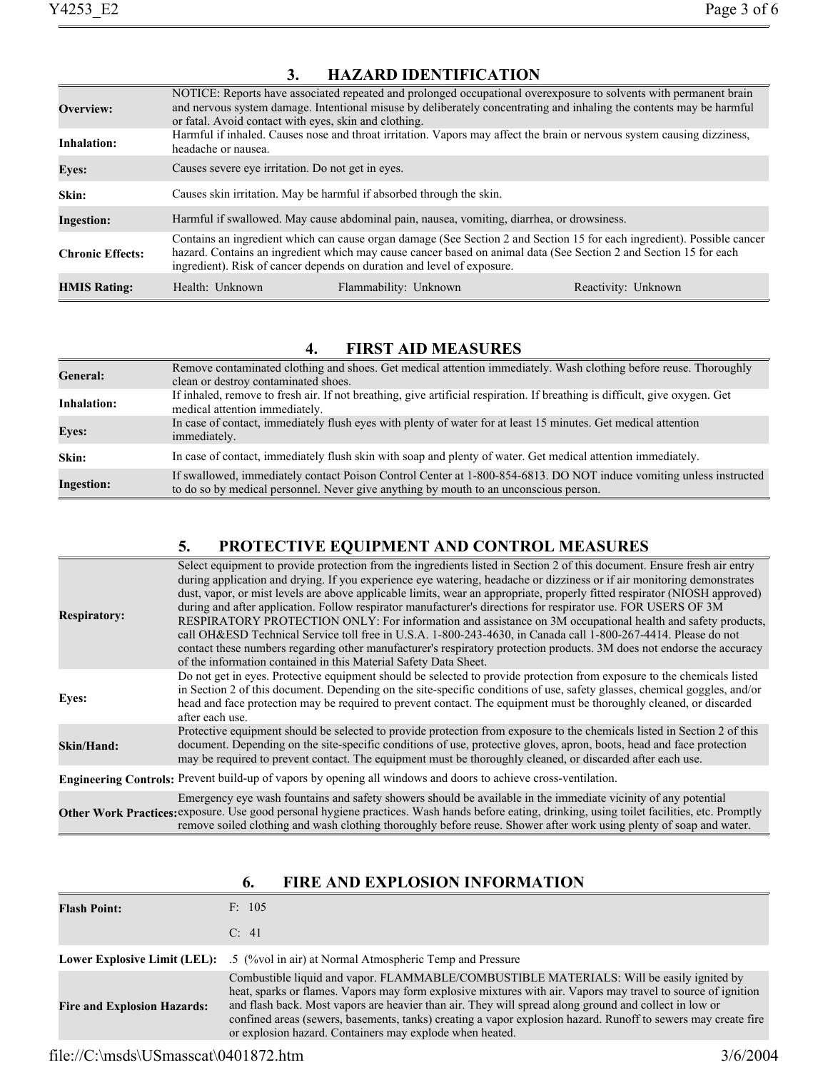| Overview:               | or fatal. Avoid contact with eyes, skin and clothing.                                                                                                                                                                                                                                                                  |                                                                                            | NOTICE: Reports have associated repeated and prolonged occupational overexposure to solvents with permanent brain<br>and nervous system damage. Intentional misuse by deliberately concentrating and inhaling the contents may be harmful |
|-------------------------|------------------------------------------------------------------------------------------------------------------------------------------------------------------------------------------------------------------------------------------------------------------------------------------------------------------------|--------------------------------------------------------------------------------------------|-------------------------------------------------------------------------------------------------------------------------------------------------------------------------------------------------------------------------------------------|
| <b>Inhalation:</b>      | headache or nausea.                                                                                                                                                                                                                                                                                                    |                                                                                            | Harmful if inhaled. Causes nose and throat irritation. Vapors may affect the brain or nervous system causing dizziness,                                                                                                                   |
| <b>Eyes:</b>            | Causes severe eve irritation. Do not get in eyes.                                                                                                                                                                                                                                                                      |                                                                                            |                                                                                                                                                                                                                                           |
| Skin:                   |                                                                                                                                                                                                                                                                                                                        | Causes skin irritation. May be harmful if absorbed through the skin.                       |                                                                                                                                                                                                                                           |
| <b>Ingestion:</b>       |                                                                                                                                                                                                                                                                                                                        | Harmful if swallowed. May cause abdominal pain, nausea, vomiting, diarrhea, or drowsiness. |                                                                                                                                                                                                                                           |
| <b>Chronic Effects:</b> | Contains an ingredient which can cause organ damage (See Section 2 and Section 15 for each ingredient). Possible cancer<br>hazard. Contains an ingredient which may cause cancer based on animal data (See Section 2 and Section 15 for each<br>ingredient). Risk of cancer depends on duration and level of exposure. |                                                                                            |                                                                                                                                                                                                                                           |
| <b>HMIS Rating:</b>     | Health: Unknown                                                                                                                                                                                                                                                                                                        | Flammability: Unknown                                                                      | Reactivity: Unknown                                                                                                                                                                                                                       |

## **3. HAZARD IDENTIFICATION**

# **4. FIRST AID MEASURES**

| <b>General:</b>   | Remove contaminated clothing and shoes. Get medical attention immediately. Wash clothing before reuse. Thoroughly<br>clean or destroy contaminated shoes.                                                    |
|-------------------|--------------------------------------------------------------------------------------------------------------------------------------------------------------------------------------------------------------|
| Inhalation:       | If inhaled, remove to fresh air. If not breathing, give artificial respiration. If breathing is difficult, give oxygen. Get<br>medical attention immediately.                                                |
| <b>Eves:</b>      | In case of contact, immediately flush eyes with plenty of water for at least 15 minutes. Get medical attention<br>immediately.                                                                               |
| Skin:             | In case of contact, immediately flush skin with soap and plenty of water. Get medical attention immediately.                                                                                                 |
| <b>Ingestion:</b> | If swallowed, immediately contact Poison Control Center at 1-800-854-6813. DO NOT induce vomiting unless instructed<br>to do so by medical personnel. Never give anything by mouth to an unconscious person. |

# **5. PROTECTIVE EQUIPMENT AND CONTROL MEASURES**

| <b>Respiratory:</b> | Select equipment to provide protection from the ingredients listed in Section 2 of this document. Ensure fresh air entry<br>during application and drying. If you experience eye watering, headache or dizziness or if air monitoring demonstrates<br>dust, vapor, or mist levels are above applicable limits, wear an appropriate, properly fitted respirator (NIOSH approved)<br>during and after application. Follow respirator manufacturer's directions for respirator use. FOR USERS OF 3M<br>RESPIRATORY PROTECTION ONLY: For information and assistance on 3M occupational health and safety products,<br>call OH&ESD Technical Service toll free in U.S.A. 1-800-243-4630, in Canada call 1-800-267-4414. Please do not<br>contact these numbers regarding other manufacturer's respiratory protection products. 3M does not endorse the accuracy<br>of the information contained in this Material Safety Data Sheet. |
|---------------------|--------------------------------------------------------------------------------------------------------------------------------------------------------------------------------------------------------------------------------------------------------------------------------------------------------------------------------------------------------------------------------------------------------------------------------------------------------------------------------------------------------------------------------------------------------------------------------------------------------------------------------------------------------------------------------------------------------------------------------------------------------------------------------------------------------------------------------------------------------------------------------------------------------------------------------|
| <b>Eyes:</b>        | Do not get in eyes. Protective equipment should be selected to provide protection from exposure to the chemicals listed<br>in Section 2 of this document. Depending on the site-specific conditions of use, safety glasses, chemical goggles, and/or<br>head and face protection may be required to prevent contact. The equipment must be thoroughly cleaned, or discarded<br>after each use.                                                                                                                                                                                                                                                                                                                                                                                                                                                                                                                                 |
| Skin/Hand:          | Protective equipment should be selected to provide protection from exposure to the chemicals listed in Section 2 of this<br>document. Depending on the site-specific conditions of use, protective gloves, apron, boots, head and face protection<br>may be required to prevent contact. The equipment must be thoroughly cleaned, or discarded after each use.                                                                                                                                                                                                                                                                                                                                                                                                                                                                                                                                                                |
|                     | Engineering Controls: Prevent build-up of vapors by opening all windows and doors to achieve cross-ventilation.                                                                                                                                                                                                                                                                                                                                                                                                                                                                                                                                                                                                                                                                                                                                                                                                                |
|                     | Emergency eye wash fountains and safety showers should be available in the immediate vicinity of any potential<br>Other Work Practices: exposure. Use good personal hygiene practices. Wash hands before eating, drinking, using toilet facilities, etc. Promptly<br>remove soiled clothing and wash clothing thoroughly before reuse. Shower after work using plenty of soap and water.                                                                                                                                                                                                                                                                                                                                                                                                                                                                                                                                       |

# **6. FIRE AND EXPLOSION INFORMATION**

| <b>Flash Point:</b>                | F: 105                                                                                                                                                                                                                                                                                                                                                                                                                                                                                         |
|------------------------------------|------------------------------------------------------------------------------------------------------------------------------------------------------------------------------------------------------------------------------------------------------------------------------------------------------------------------------------------------------------------------------------------------------------------------------------------------------------------------------------------------|
|                                    | C: 41                                                                                                                                                                                                                                                                                                                                                                                                                                                                                          |
|                                    | <b>Lower Explosive Limit (LEL):</b> .5 (%vol in air) at Normal Atmospheric Temp and Pressure                                                                                                                                                                                                                                                                                                                                                                                                   |
| <b>Fire and Explosion Hazards:</b> | Combustible liquid and vapor. FLAMMABLE/COMBUSTIBLE MATERIALS: Will be easily ignited by<br>heat, sparks or flames. Vapors may form explosive mixtures with air. Vapors may travel to source of ignition<br>and flash back. Most vapors are heavier than air. They will spread along ground and collect in low or<br>confined areas (sewers, basements, tanks) creating a vapor explosion hazard. Runoff to sewers may create fire<br>or explosion hazard. Containers may explode when heated. |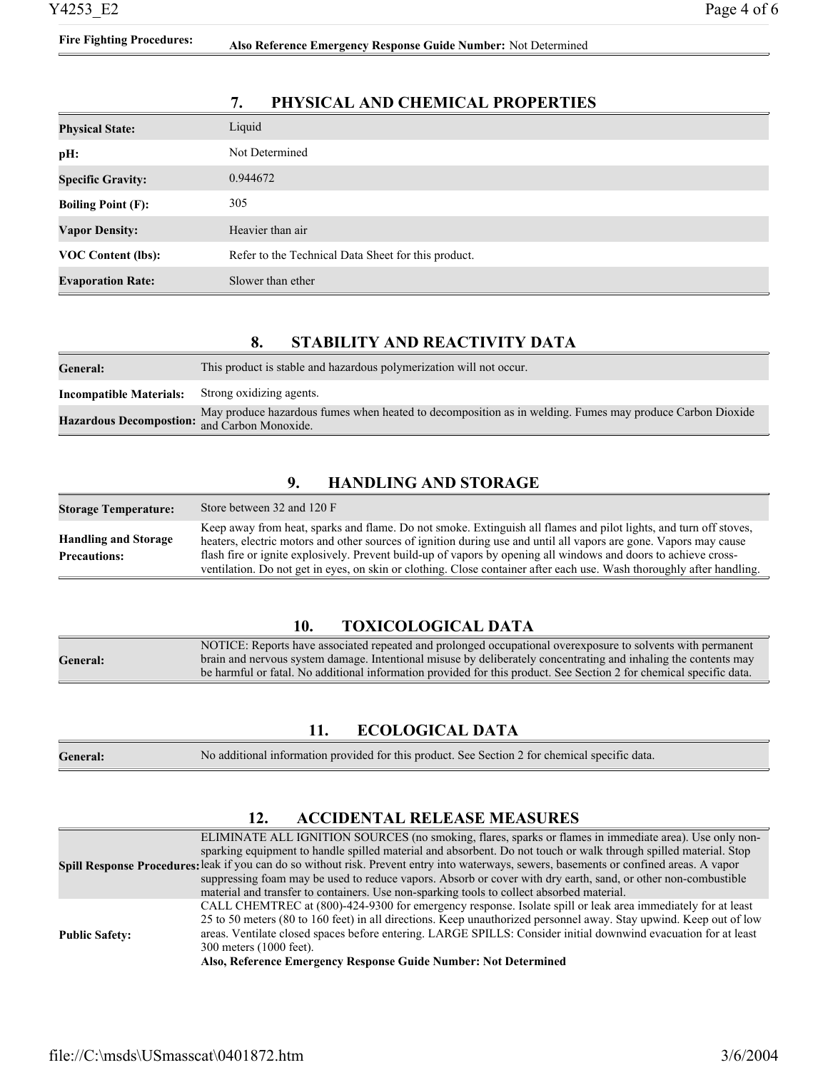| <b>Physical State:</b>    | Liquid                                              |
|---------------------------|-----------------------------------------------------|
| pH:                       | Not Determined                                      |
| <b>Specific Gravity:</b>  | 0.944672                                            |
| <b>Boiling Point (F):</b> | 305                                                 |
| <b>Vapor Density:</b>     | Heavier than air                                    |
| <b>VOC Content (lbs):</b> | Refer to the Technical Data Sheet for this product. |
| <b>Evaporation Rate:</b>  | Slower than ether                                   |

### **7. PHYSICAL AND CHEMICAL PROPERTIES**

#### **8. STABILITY AND REACTIVITY DATA**

| General:                                     | This product is stable and hazardous polymerization will not occur.                                      |
|----------------------------------------------|----------------------------------------------------------------------------------------------------------|
| <b>Incompatible Materials:</b>               | Strong oxidizing agents.                                                                                 |
| Hazardous Decompostion: and Carbon Monoxide. | May produce hazardous fumes when heated to decomposition as in welding. Fumes may produce Carbon Dioxide |

#### **9. HANDLING AND STORAGE**

| <b>Storage Temperature:</b>                        | Store between 32 and 120 F                                                                                                                                                                                                                                                                                                                                |
|----------------------------------------------------|-----------------------------------------------------------------------------------------------------------------------------------------------------------------------------------------------------------------------------------------------------------------------------------------------------------------------------------------------------------|
| <b>Handling and Storage</b><br><b>Precautions:</b> | Keep away from heat, sparks and flame. Do not smoke. Extinguish all flames and pilot lights, and turn off stoves,<br>heaters, electric motors and other sources of ignition during use and until all vapors are gone. Vapors may cause<br>flash fire or ignite explosively. Prevent build-up of vapors by opening all windows and doors to achieve cross- |
|                                                    | ventilation. Do not get in eyes, on skin or clothing. Close container after each use. Wash thoroughly after handling.                                                                                                                                                                                                                                     |

#### **10. TOXICOLOGICAL DATA**

|          | NOTICE: Reports have associated repeated and prolonged occupational overexposure to solvents with permanent         |
|----------|---------------------------------------------------------------------------------------------------------------------|
| General: | brain and nervous system damage. Intentional misuse by deliberately concentrating and inhaling the contents may     |
|          | be harmful or fatal. No additional information provided for this product. See Section 2 for chemical specific data. |

# **11. ECOLOGICAL DATA**

| General: | No additional information provided for this product. See Section 2 for chemical specific data. |  |
|----------|------------------------------------------------------------------------------------------------|--|
|----------|------------------------------------------------------------------------------------------------|--|

### **12. ACCIDENTAL RELEASE MEASURES**

|                       | ELIMINATE ALL IGNITION SOURCES (no smoking, flares, sparks or flames in immediate area). Use only non-                                    |
|-----------------------|-------------------------------------------------------------------------------------------------------------------------------------------|
|                       | sparking equipment to handle spilled material and absorbent. Do not touch or walk through spilled material. Stop                          |
|                       | Spill Response Procedures: leak if you can do so without risk. Prevent entry into waterways, sewers, basements or confined areas. A vapor |
|                       | suppressing foam may be used to reduce vapors. Absorb or cover with dry earth, sand, or other non-combustible                             |
|                       | material and transfer to containers. Use non-sparking tools to collect absorbed material.                                                 |
| <b>Public Safety:</b> | CALL CHEMTREC at (800)-424-9300 for emergency response. Isolate spill or leak area immediately for at least                               |
|                       | 25 to 50 meters (80 to 160 feet) in all directions. Keep unauthorized personnel away. Stay upwind. Keep out of low                        |
|                       | areas. Ventilate closed spaces before entering. LARGE SPILLS: Consider initial downwind evacuation for at least                           |
|                       | 300 meters (1000 feet).                                                                                                                   |
|                       | Also, Reference Emergency Response Guide Number: Not Determined                                                                           |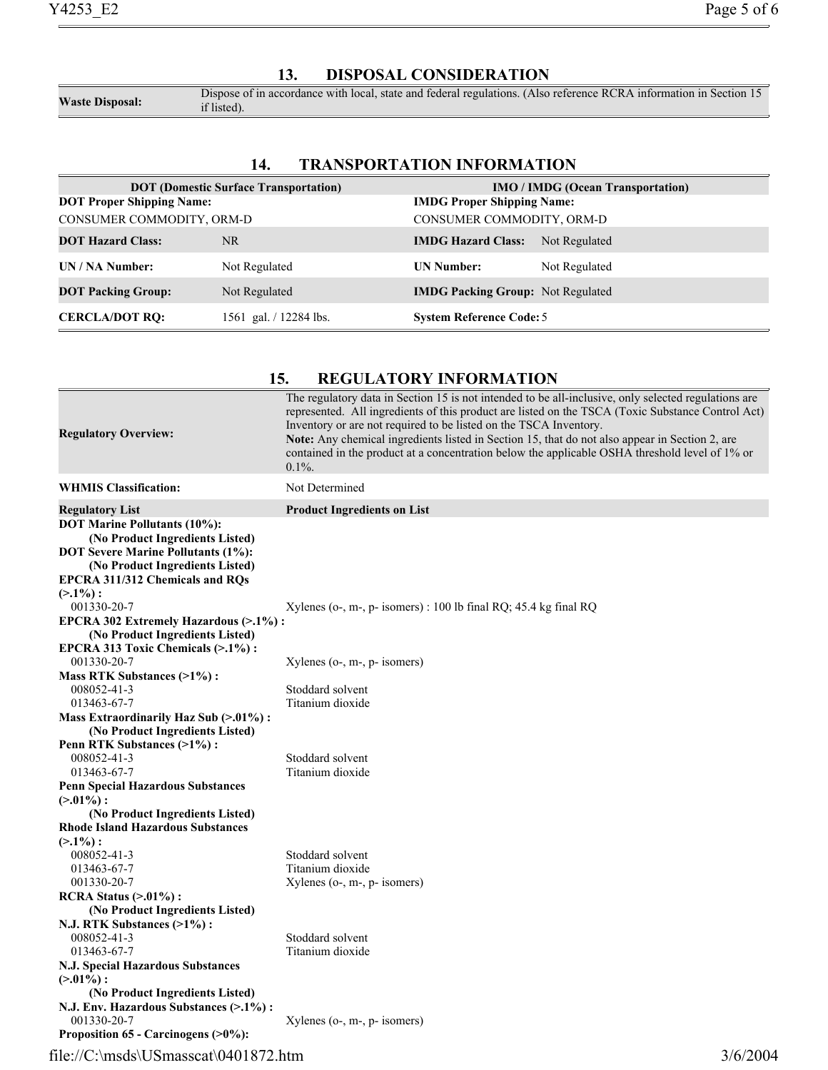#### **13. DISPOSAL CONSIDERATION**

**Waste Disposal:** Dispose of in accordance with local, state and federal regulations. (Also reference RCRA information in Section 15 if listed) if listed).

#### **14. TRANSPORTATION INFORMATION**

| <b>DOT</b> (Domestic Surface Transportation) |                        | <b>IMO</b> / <b>IMDG</b> (Ocean Transportation) |               |
|----------------------------------------------|------------------------|-------------------------------------------------|---------------|
| <b>DOT Proper Shipping Name:</b>             |                        | <b>IMDG Proper Shipping Name:</b>               |               |
| CONSUMER COMMODITY, ORM-D                    |                        | CONSUMER COMMODITY, ORM-D                       |               |
| <b>DOT Hazard Class:</b>                     | NR                     | <b>IMDG Hazard Class:</b>                       | Not Regulated |
| UN / NA Number:                              | Not Regulated          | <b>UN Number:</b>                               | Not Regulated |
| <b>DOT Packing Group:</b>                    | Not Regulated          | <b>IMDG Packing Group:</b> Not Regulated        |               |
| <b>CERCLA/DOT RO:</b>                        | 1561 gal. / 12284 lbs. | <b>System Reference Code: 5</b>                 |               |

#### **15. REGULATORY INFORMATION**

| <b>Regulatory Overview:</b>                                                                                                                                                                                                    | The regulatory data in Section 15 is not intended to be all-inclusive, only selected regulations are<br>represented. All ingredients of this product are listed on the TSCA (Toxic Substance Control Act)<br>Inventory or are not required to be listed on the TSCA Inventory.<br>Note: Any chemical ingredients listed in Section 15, that do not also appear in Section 2, are<br>contained in the product at a concentration below the applicable OSHA threshold level of 1% or<br>$0.1\%$ . |
|--------------------------------------------------------------------------------------------------------------------------------------------------------------------------------------------------------------------------------|-------------------------------------------------------------------------------------------------------------------------------------------------------------------------------------------------------------------------------------------------------------------------------------------------------------------------------------------------------------------------------------------------------------------------------------------------------------------------------------------------|
| <b>WHMIS Classification:</b>                                                                                                                                                                                                   | Not Determined                                                                                                                                                                                                                                                                                                                                                                                                                                                                                  |
| <b>Regulatory List</b>                                                                                                                                                                                                         | <b>Product Ingredients on List</b>                                                                                                                                                                                                                                                                                                                                                                                                                                                              |
| <b>DOT Marine Pollutants (10%):</b><br>(No Product Ingredients Listed)<br><b>DOT Severe Marine Pollutants (1%):</b><br>(No Product Ingredients Listed)<br><b>EPCRA 311/312 Chemicals and RQs</b><br>$(2.1\%)$ :<br>001330-20-7 | Xylenes ( $o$ -, $m$ -, $p$ - isomers) : 100 lb final RQ; 45.4 kg final RQ                                                                                                                                                                                                                                                                                                                                                                                                                      |
| EPCRA 302 Extremely Hazardous (>.1%):                                                                                                                                                                                          |                                                                                                                                                                                                                                                                                                                                                                                                                                                                                                 |
| (No Product Ingredients Listed)<br>EPCRA 313 Toxic Chemicals (>.1%):<br>001330-20-7                                                                                                                                            | $Xylenes$ (o-, m-, p- isomers)                                                                                                                                                                                                                                                                                                                                                                                                                                                                  |
| Mass RTK Substances (>1%):                                                                                                                                                                                                     |                                                                                                                                                                                                                                                                                                                                                                                                                                                                                                 |
| 008052-41-3                                                                                                                                                                                                                    | Stoddard solvent                                                                                                                                                                                                                                                                                                                                                                                                                                                                                |
| 013463-67-7                                                                                                                                                                                                                    | Titanium dioxide                                                                                                                                                                                                                                                                                                                                                                                                                                                                                |
| Mass Extraordinarily Haz Sub (>.01%):<br>(No Product Ingredients Listed)<br>Penn RTK Substances (>1%):                                                                                                                         |                                                                                                                                                                                                                                                                                                                                                                                                                                                                                                 |
| 008052-41-3                                                                                                                                                                                                                    | Stoddard solvent                                                                                                                                                                                                                                                                                                                                                                                                                                                                                |
| 013463-67-7                                                                                                                                                                                                                    | Titanium dioxide                                                                                                                                                                                                                                                                                                                                                                                                                                                                                |
| <b>Penn Special Hazardous Substances</b><br>$(>0.01\%)$ :                                                                                                                                                                      |                                                                                                                                                                                                                                                                                                                                                                                                                                                                                                 |
| (No Product Ingredients Listed)                                                                                                                                                                                                |                                                                                                                                                                                                                                                                                                                                                                                                                                                                                                 |
| <b>Rhode Island Hazardous Substances</b><br>$(>1\%)$ :                                                                                                                                                                         |                                                                                                                                                                                                                                                                                                                                                                                                                                                                                                 |
| 008052-41-3                                                                                                                                                                                                                    | Stoddard solvent                                                                                                                                                                                                                                                                                                                                                                                                                                                                                |
| 013463-67-7                                                                                                                                                                                                                    | Titanium dioxide                                                                                                                                                                                                                                                                                                                                                                                                                                                                                |
| 001330-20-7                                                                                                                                                                                                                    | $X$ ylenes (o-, m-, p- isomers)                                                                                                                                                                                                                                                                                                                                                                                                                                                                 |
| $RCRA$ Status $(>0.01\%)$ :                                                                                                                                                                                                    |                                                                                                                                                                                                                                                                                                                                                                                                                                                                                                 |
| (No Product Ingredients Listed)                                                                                                                                                                                                |                                                                                                                                                                                                                                                                                                                                                                                                                                                                                                 |
| N.J. RTK Substances (>1%):                                                                                                                                                                                                     |                                                                                                                                                                                                                                                                                                                                                                                                                                                                                                 |
| 008052-41-3                                                                                                                                                                                                                    | Stoddard solvent                                                                                                                                                                                                                                                                                                                                                                                                                                                                                |
| 013463-67-7                                                                                                                                                                                                                    | Titanium dioxide                                                                                                                                                                                                                                                                                                                                                                                                                                                                                |
| N.J. Special Hazardous Substances                                                                                                                                                                                              |                                                                                                                                                                                                                                                                                                                                                                                                                                                                                                 |
| $(>0.01\%)$ :<br>(No Product Ingredients Listed)                                                                                                                                                                               |                                                                                                                                                                                                                                                                                                                                                                                                                                                                                                 |
| N.J. Env. Hazardous Substances (>.1%):                                                                                                                                                                                         |                                                                                                                                                                                                                                                                                                                                                                                                                                                                                                 |
| 001330-20-7                                                                                                                                                                                                                    | $Xylenes$ (o-, m-, p- isomers)                                                                                                                                                                                                                                                                                                                                                                                                                                                                  |
| Proposition $65$ - Carcinogens $(>0\%)$ :                                                                                                                                                                                      |                                                                                                                                                                                                                                                                                                                                                                                                                                                                                                 |

# file://C:\msds\USmasscat\0401872.htm 3/6/2004